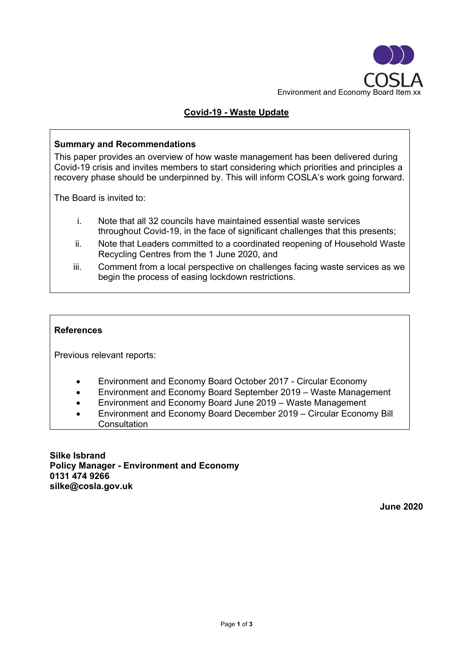

# **Covid-19 - Waste Update**

## **Summary and Recommendations**

This paper provides an overview of how waste management has been delivered during Covid-19 crisis and invites members to start considering which priorities and principles a recovery phase should be underpinned by. This will inform COSLA's work going forward.

The Board is invited to:

- i. Note that all 32 councils have maintained essential waste services throughout Covid-19, in the face of significant challenges that this presents;
- ii. Note that Leaders committed to a coordinated reopening of Household Waste Recycling Centres from the 1 June 2020, and
- iii. Comment from a local perspective on challenges facing waste services as we begin the process of easing lockdown restrictions.

### **References**

Previous relevant reports:

- Environment and Economy Board October 2017 Circular Economy
- Environment and Economy Board September 2019 Waste Management
- Environment and Economy Board June 2019 Waste Management
- Environment and Economy Board December 2019 Circular Economy Bill **Consultation**

**Silke Isbrand Policy Manager - Environment and Economy 0131 474 9266 silke@cosla.gov.uk**

**June 2020**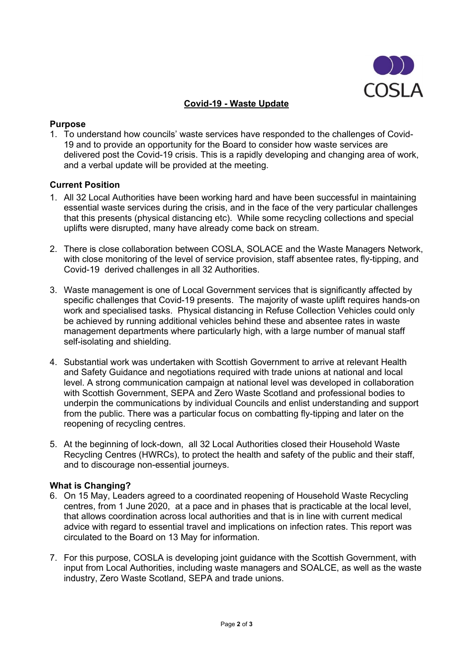

## **Covid-19 - Waste Update**

#### **Purpose**

1. To understand how councils' waste services have responded to the challenges of Covid-19 and to provide an opportunity for the Board to consider how waste services are delivered post the Covid-19 crisis. This is a rapidly developing and changing area of work, and a verbal update will be provided at the meeting.

#### **Current Position**

- 1. All 32 Local Authorities have been working hard and have been successful in maintaining essential waste services during the crisis, and in the face of the very particular challenges that this presents (physical distancing etc). While some recycling collections and special uplifts were disrupted, many have already come back on stream.
- 2. There is close collaboration between COSLA, SOLACE and the Waste Managers Network, with close monitoring of the level of service provision, staff absentee rates, fly-tipping, and Covid-19 derived challenges in all 32 Authorities.
- 3. Waste management is one of Local Government services that is significantly affected by specific challenges that Covid-19 presents. The majority of waste uplift requires hands-on work and specialised tasks. Physical distancing in Refuse Collection Vehicles could only be achieved by running additional vehicles behind these and absentee rates in waste management departments where particularly high, with a large number of manual staff self-isolating and shielding.
- 4. Substantial work was undertaken with Scottish Government to arrive at relevant Health and Safety Guidance and negotiations required with trade unions at national and local level. A strong communication campaign at national level was developed in collaboration with Scottish Government, SEPA and Zero Waste Scotland and professional bodies to underpin the communications by individual Councils and enlist understanding and support from the public. There was a particular focus on combatting fly-tipping and later on the reopening of recycling centres.
- 5. At the beginning of lock-down, all 32 Local Authorities closed their Household Waste Recycling Centres (HWRCs), to protect the health and safety of the public and their staff, and to discourage non-essential journeys.

### **What is Changing?**

- 6. On 15 May, Leaders agreed to a coordinated reopening of Household Waste Recycling centres, from 1 June 2020, at a pace and in phases that is practicable at the local level, that allows coordination across local authorities and that is in line with current medical advice with regard to essential travel and implications on infection rates. This report was circulated to the Board on 13 May for information.
- 7. For this purpose, COSLA is developing joint guidance with the Scottish Government, with input from Local Authorities, including waste managers and SOALCE, as well as the waste industry, Zero Waste Scotland, SEPA and trade unions.